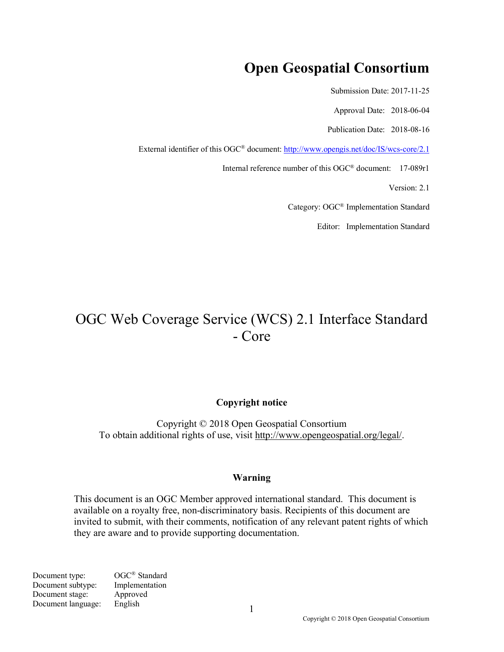# **Open Geospatial Consortium**

Submission Date: 2017-11-25

Approval Date: 2018-06-04

Publication Date: 2018-08-16

External identifier of this OGC® document: http://www.opengis.net/doc/IS/wcs-core/2.1

Internal reference number of this OGC® document: 17-089r1

Version: 2.1

Category: OGC® Implementation Standard

Editor: Implementation Standard

# OGC Web Coverage Service (WCS) 2.1 Interface Standard - Core

#### **Copyright notice**

Copyright © 2018 Open Geospatial Consortium To obtain additional rights of use, visit http://www.opengeospatial.org/legal/.

#### **Warning**

This document is an OGC Member approved international standard. This document is available on a royalty free, non-discriminatory basis. Recipients of this document are invited to submit, with their comments, notification of any relevant patent rights of which they are aware and to provide supporting documentation.

Document type: OGC<sup>®</sup> Standard Document subtype: Implementation Document stage: Approved Document language: English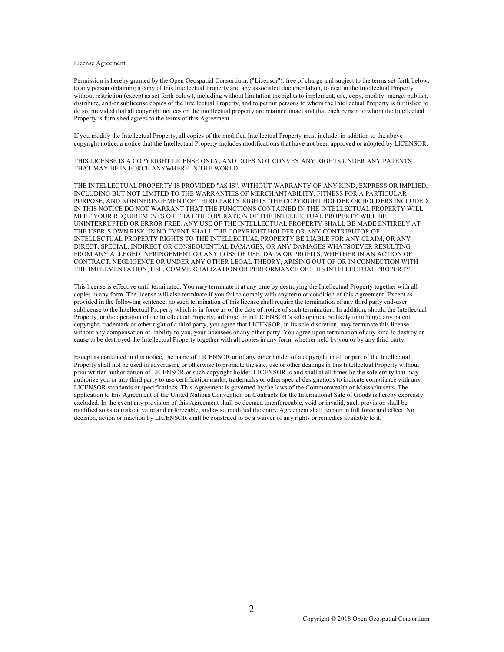#### License Agreement

Permission is hereby granted by the Open Geospatial Consortium, ("Licensor"), free of charge and subject to the terms set forth below, to any person obtaining a copy of this Intellectual Property and any associated documentation, to deal in the Intellectual Property without restriction (except as set forth below), including without limitation the rights to implement, use, copy, modify, merge, publish, distribute, and/or sublicense copies of the Intellectual Property, and to permit persons to whom the Intellectual Property is furnished to do so, provided that all copyright notices on the intellectual property are retained intact and that each person to whom the Intellectual Property is furnished agrees to the terms of this Agreement.

If you modify the Intellectual Property, all copies of the modified Intellectual Property must include, in addition to the above copyright notice, a notice that the Intellectual Property includes modifications that have not been approved or adopted by LICENSOR.

THIS LICENSE IS A COPYRIGHT LICENSE ONLY, AND DOES NOT CONVEY ANY RIGHTS UNDER ANY PATENTS THAT MAY BE IN FORCE ANYWHERE IN THE WORLD.

THE INTELLECTUAL PROPERTY IS PROVIDED "AS IS", WITHOUT WARRANTY OF ANY KIND, EXPRESS OR IMPLIED, INCLUDING BUT NOT LIMITED TO THE WARRANTIES OF MERCHANTABILITY, FITNESS FOR A PARTICULAR PURPOSE, AND NONINFRINGEMENT OF THIRD PARTY RIGHTS. THE COPYRIGHT HOLDER OR HOLDERS INCLUDED IN THIS NOTICE DO NOT WARRANT THAT THE FUNCTIONS CONTAINED IN THE INTELLECTUAL PROPERTY WILL MEET YOUR REQUIREMENTS OR THAT THE OPERATION OF THE INTELLECTUAL PROPERTY WILL BE UNINTERRUPTED OR ERROR FREE. ANY USE OF THE INTELLECTUAL PROPERTY SHALL BE MADE ENTIRELY AT THE USER'S OWN RISK. IN NO EVENT SHALL THE COPYRIGHT HOLDER OR ANY CONTRIBUTOR OF INTELLECTUAL PROPERTY RIGHTS TO THE INTELLECTUAL PROPERTY BE LIABLE FOR ANY CLAIM, OR ANY DIRECT, SPECIAL, INDIRECT OR CONSEQUENTIAL DAMAGES, OR ANY DAMAGES WHATSOEVER RESULTING FROM ANY ALLEGED INFRINGEMENT OR ANY LOSS OF USE, DATA OR PROFITS, WHETHER IN AN ACTION OF CONTRACT, NEGLIGENCE OR UNDER ANY OTHER LEGAL THEORY, ARISING OUT OF OR IN CONNECTION WITH THE IMPLEMENTATION, USE, COMMERCIALIZATION OR PERFORMANCE OF THIS INTELLECTUAL PROPERTY.

This license is effective until terminated. You may terminate it at any time by destroying the Intellectual Property together with all copies in any form. The license will also terminate if you fail to comply with any term or condition of this Agreement. Except as provided in the following sentence, no such termination of this license shall require the termination of any third party end-user sublicense to the Intellectual Property which is in force as of the date of notice of such termination. In addition, should the Intellectual Property, or the operation of the Intellectual Property, infringe, or in LICENSOR's sole opinion be likely to infringe, any patent, copyright, trademark or other right of a third party, you agree that LICENSOR, in its sole discretion, may terminate this license without any compensation or liability to you, your licensees or any other party. You agree upon termination of any kind to destroy or cause to be destroyed the Intellectual Property together with all copies in any form, whether held by you or by any third party.

Except as contained in this notice, the name of LICENSOR or of any other holder of a copyright in all or part of the Intellectual Property shall not be used in advertising or otherwise to promote the sale, use or other dealings in this Intellectual Property without prior written authorization of LICENSOR or such copyright holder. LICENSOR is and shall at all times be the sole entity that may authorize you or any third party to use certification marks, trademarks or other special designations to indicate compliance with any LICENSOR standards or specifications. This Agreement is governed by the laws of the Commonwealth of Massachusetts. The application to this Agreement of the United Nations Convention on Contracts for the International Sale of Goods is hereby expressly excluded. In the event any provision of this Agreement shall be deemed unenforceable, void or invalid, such provision shall be modified so as to make it valid and enforceable, and as so modified the entire Agreement shall remain in full force and effect. No decision, action or inaction by LICENSOR shall be construed to be a waiver of any rights or remedies available to it.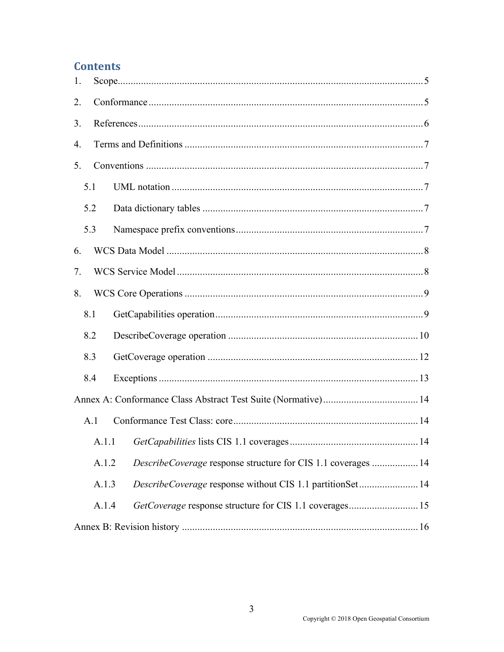## **Contents**

| 1.    |       |                                                               |  |  |  |
|-------|-------|---------------------------------------------------------------|--|--|--|
| 2.    |       |                                                               |  |  |  |
| 3.    |       |                                                               |  |  |  |
| 4.    |       |                                                               |  |  |  |
| 5.    |       |                                                               |  |  |  |
|       | 5.1   |                                                               |  |  |  |
|       | 5.2   |                                                               |  |  |  |
|       | 5.3   |                                                               |  |  |  |
| 6.    |       |                                                               |  |  |  |
| 7.    |       |                                                               |  |  |  |
| 8.    |       |                                                               |  |  |  |
|       | 8.1   |                                                               |  |  |  |
|       | 8.2   |                                                               |  |  |  |
|       | 8.3   |                                                               |  |  |  |
| 8.4   |       |                                                               |  |  |  |
|       |       |                                                               |  |  |  |
|       | A.1   |                                                               |  |  |  |
|       | A.1.1 |                                                               |  |  |  |
| A.1.2 |       | DescribeCoverage response structure for CIS 1.1 coverages  14 |  |  |  |
|       | A.1.3 | DescribeCoverage response without CIS 1.1 partitionSet 14     |  |  |  |
|       |       | A.1.4                                                         |  |  |  |
|       |       |                                                               |  |  |  |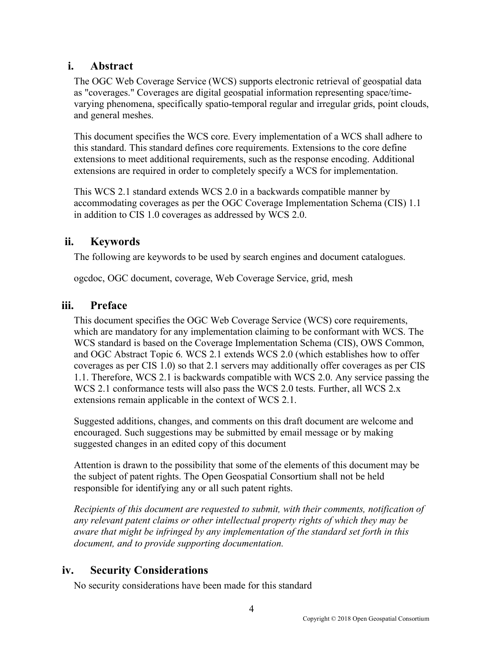### **i. Abstract**

The OGC Web Coverage Service (WCS) supports electronic retrieval of geospatial data as "coverages." Coverages are digital geospatial information representing space/timevarying phenomena, specifically spatio-temporal regular and irregular grids, point clouds, and general meshes.

This document specifies the WCS core. Every implementation of a WCS shall adhere to this standard. This standard defines core requirements. Extensions to the core define extensions to meet additional requirements, such as the response encoding. Additional extensions are required in order to completely specify a WCS for implementation.

This WCS 2.1 standard extends WCS 2.0 in a backwards compatible manner by accommodating coverages as per the OGC Coverage Implementation Schema (CIS) 1.1 in addition to CIS 1.0 coverages as addressed by WCS 2.0.

### **ii. Keywords**

The following are keywords to be used by search engines and document catalogues.

ogcdoc, OGC document, coverage, Web Coverage Service, grid, mesh

### **iii. Preface**

This document specifies the OGC Web Coverage Service (WCS) core requirements, which are mandatory for any implementation claiming to be conformant with WCS. The WCS standard is based on the Coverage Implementation Schema (CIS), OWS Common, and OGC Abstract Topic 6. WCS 2.1 extends WCS 2.0 (which establishes how to offer coverages as per CIS 1.0) so that 2.1 servers may additionally offer coverages as per CIS 1.1. Therefore, WCS 2.1 is backwards compatible with WCS 2.0. Any service passing the WCS 2.1 conformance tests will also pass the WCS 2.0 tests. Further, all WCS 2.x extensions remain applicable in the context of WCS 2.1.

Suggested additions, changes, and comments on this draft document are welcome and encouraged. Such suggestions may be submitted by email message or by making suggested changes in an edited copy of this document

Attention is drawn to the possibility that some of the elements of this document may be the subject of patent rights. The Open Geospatial Consortium shall not be held responsible for identifying any or all such patent rights.

*Recipients of this document are requested to submit, with their comments, notification of any relevant patent claims or other intellectual property rights of which they may be aware that might be infringed by any implementation of the standard set forth in this document, and to provide supporting documentation.*

### **iv. Security Considerations**

No security considerations have been made for this standard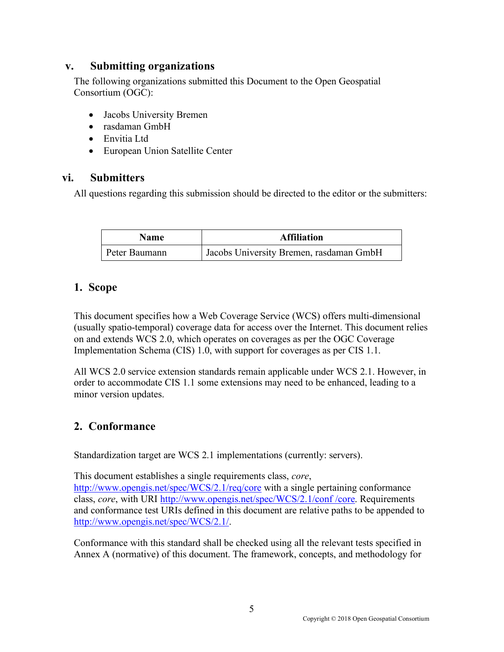### **v. Submitting organizations**

The following organizations submitted this Document to the Open Geospatial Consortium (OGC):

- Jacobs University Bremen
- rasdaman GmbH
- Envitia Ltd
- European Union Satellite Center

### **vi. Submitters**

All questions regarding this submission should be directed to the editor or the submitters:

| <b>Name</b>   | <b>Affiliation</b>                      |
|---------------|-----------------------------------------|
| Peter Baumann | Jacobs University Bremen, rasdaman GmbH |

### **1. Scope**

This document specifies how a Web Coverage Service (WCS) offers multi-dimensional (usually spatio-temporal) coverage data for access over the Internet. This document relies on and extends WCS 2.0, which operates on coverages as per the OGC Coverage Implementation Schema (CIS) 1.0, with support for coverages as per CIS 1.1.

All WCS 2.0 service extension standards remain applicable under WCS 2.1. However, in order to accommodate CIS 1.1 some extensions may need to be enhanced, leading to a minor version updates.

### **2. Conformance**

Standardization target are WCS 2.1 implementations (currently: servers).

This document establishes a single requirements class, *core*,

http://www.opengis.net/spec/WCS/2.1/req/core with a single pertaining conformance class, *core*, with URI http://www.opengis.net/spec/WCS/2.1/conf /core. Requirements and conformance test URIs defined in this document are relative paths to be appended to http://www.opengis.net/spec/WCS/2.1/.

Conformance with this standard shall be checked using all the relevant tests specified in Annex A (normative) of this document. The framework, concepts, and methodology for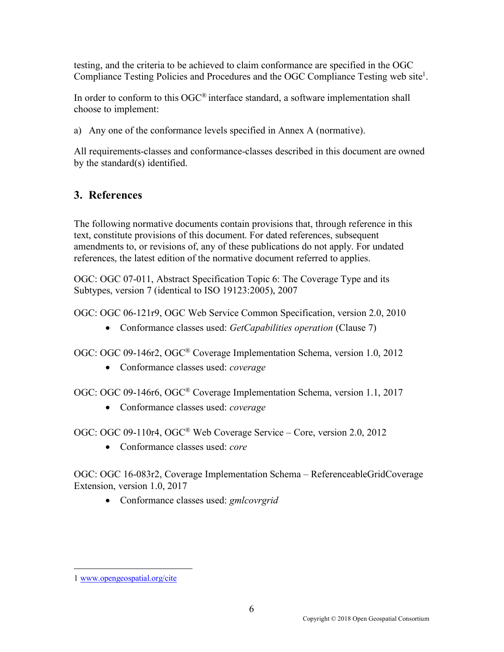testing, and the criteria to be achieved to claim conformance are specified in the OGC Compliance Testing Policies and Procedures and the OGC Compliance Testing web site<sup>1</sup>.

In order to conform to this  $OGC^{\circledast}$  interface standard, a software implementation shall choose to implement:

a) Any one of the conformance levels specified in Annex A (normative).

All requirements-classes and conformance-classes described in this document are owned by the standard(s) identified.

## **3. References**

The following normative documents contain provisions that, through reference in this text, constitute provisions of this document. For dated references, subsequent amendments to, or revisions of, any of these publications do not apply. For undated references, the latest edition of the normative document referred to applies.

OGC: OGC 07-011, Abstract Specification Topic 6: The Coverage Type and its Subtypes, version 7 (identical to ISO 19123:2005), 2007

OGC: OGC 06-121r9, OGC Web Service Common Specification, version 2.0, 2010

• Conformance classes used: *GetCapabilities operation* (Clause 7)

OGC: OGC 09-146r2, OGC® Coverage Implementation Schema, version 1.0, 2012

• Conformance classes used: *coverage*

OGC: OGC 09-146r6, OGC® Coverage Implementation Schema, version 1.1, 2017

• Conformance classes used: *coverage*

OGC: OGC 09-110r4, OGC® Web Coverage Service – Core, version 2.0, 2012

• Conformance classes used: *core*

OGC: OGC 16-083r2, Coverage Implementation Schema – ReferenceableGridCoverage Extension, version 1.0, 2017

• Conformance classes used: *gmlcovrgrid*

 $\overline{a}$ 

<sup>1</sup> www.opengeospatial.org/cite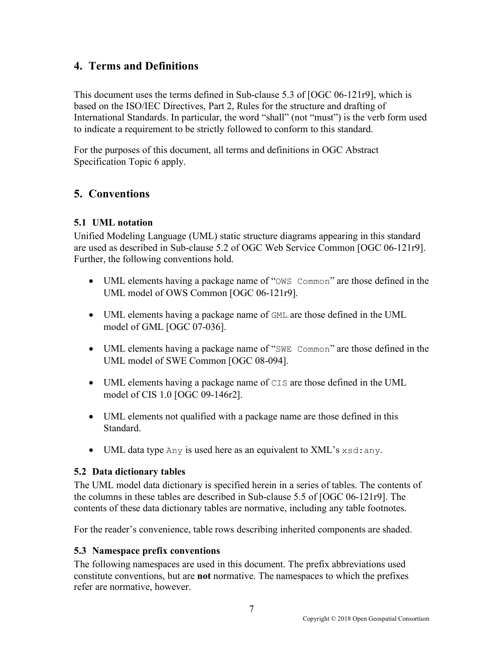### **4. Terms and Definitions**

This document uses the terms defined in Sub-clause 5.3 of [OGC 06-121r9], which is based on the ISO/IEC Directives, Part 2, Rules for the structure and drafting of International Standards. In particular, the word "shall" (not "must") is the verb form used to indicate a requirement to be strictly followed to conform to this standard.

For the purposes of this document, all terms and definitions in OGC Abstract Specification Topic 6 apply.

### **5. Conventions**

### **5.1 UML notation**

Unified Modeling Language (UML) static structure diagrams appearing in this standard are used as described in Sub-clause 5.2 of OGC Web Service Common [OGC 06-121r9]. Further, the following conventions hold.

- UML elements having a package name of "OWS Common" are those defined in the UML model of OWS Common [OGC 06-121r9].
- UML elements having a package name of GML are those defined in the UML model of GML [OGC 07-036].
- UML elements having a package name of "SWE Common" are those defined in the UML model of SWE Common [OGC 08-094].
- UML elements having a package name of CIS are those defined in the UML model of CIS 1.0 [OGC 09-146r2].
- UML elements not qualified with a package name are those defined in this Standard.
- UML data type Any is used here as an equivalent to XML's xsd: any.

### **5.2 Data dictionary tables**

The UML model data dictionary is specified herein in a series of tables. The contents of the columns in these tables are described in Sub-clause 5.5 of [OGC 06-121r9]. The contents of these data dictionary tables are normative, including any table footnotes.

For the reader's convenience, table rows describing inherited components are shaded.

#### **5.3 Namespace prefix conventions**

The following namespaces are used in this document. The prefix abbreviations used constitute conventions, but are **not** normative. The namespaces to which the prefixes refer are normative, however.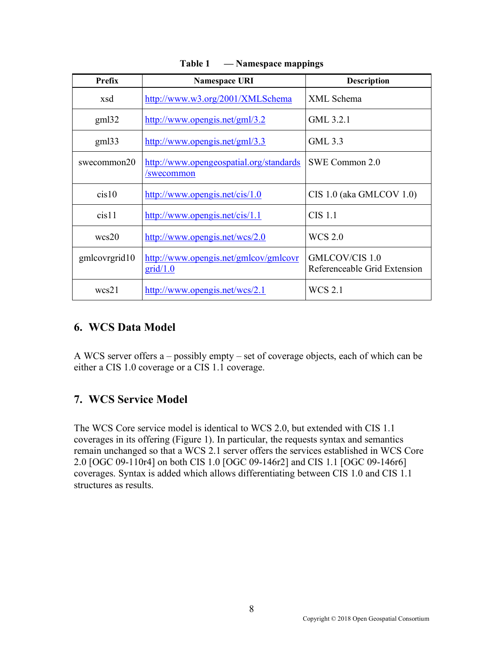| Prefix        | <b>Namespace URI</b>                                  | <b>Description</b>                             |
|---------------|-------------------------------------------------------|------------------------------------------------|
| xsd           | http://www.w3.org/2001/XMLSchema                      | XML Schema                                     |
| gm132         | http://www.opengis.net/gml/3.2                        | GML 3.2.1                                      |
| gm133         | http://www.opengis.net/gml/3.3                        | GML 3.3                                        |
| swecommon20   | http://www.opengeospatial.org/standards<br>/swecommon | SWE Common 2.0                                 |
| cis10         | http://www.opengis.net/cis/1.0                        | CIS 1.0 (aka GMLCOV 1.0)                       |
| cis11         | http://www.opengis.net/cis/1.1                        | <b>CIS</b> 1.1                                 |
| wcs20         | http://www.opengis.net/wcs/2.0                        | <b>WCS 2.0</b>                                 |
| gmlcovrgrid10 | http://www.opengis.net/gmlcov/gmlcovr<br>grid/1.0     | GMLCOV/CIS 1.0<br>Referenceable Grid Extension |
| wcs21         | http://www.opengis.net/wcs/2.1                        | <b>WCS 2.1</b>                                 |

**Table 1 — Namespace mappings**

### **6. WCS Data Model**

A WCS server offers a – possibly empty – set of coverage objects, each of which can be either a CIS 1.0 coverage or a CIS 1.1 coverage.

### **7. WCS Service Model**

The WCS Core service model is identical to WCS 2.0, but extended with CIS 1.1 coverages in its offering (Figure 1). In particular, the requests syntax and semantics remain unchanged so that a WCS 2.1 server offers the services established in WCS Core 2.0 [OGC 09-110r4] on both CIS 1.0 [OGC 09-146r2] and CIS 1.1 [OGC 09-146r6] coverages. Syntax is added which allows differentiating between CIS 1.0 and CIS 1.1 structures as results.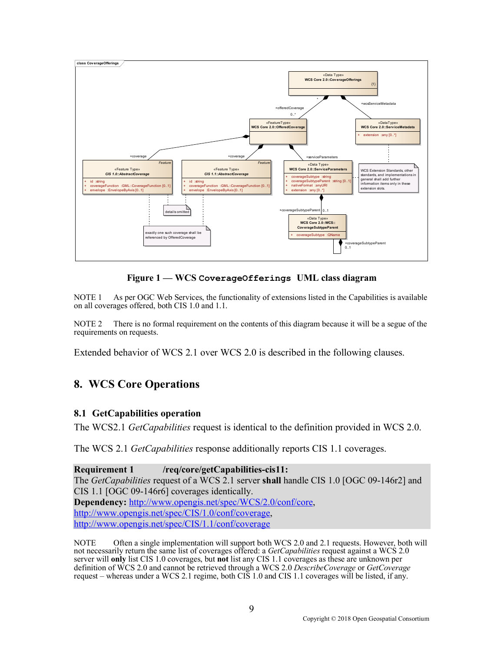

**Figure 1 — WCS CoverageOfferings UML class diagram**

NOTE 1 As per OGC Web Services, the functionality of extensions listed in the Capabilities is available on all coverages offered, both CIS 1.0 and 1.1.

NOTE 2 There is no formal requirement on the contents of this diagram because it will be a segue of the requirements on requests.

Extended behavior of WCS 2.1 over WCS 2.0 is described in the following clauses.

### **8. WCS Core Operations**

#### **8.1 GetCapabilities operation**

The WCS2.1 *GetCapabilities* request is identical to the definition provided in WCS 2.0.

The WCS 2.1 *GetCapabilities* response additionally reports CIS 1.1 coverages.

**Requirement 1 /req/core/getCapabilities-cis11:** The *GetCapabilities* request of a WCS 2.1 server **shall** handle CIS 1.0 [OGC 09-146r2] and CIS 1.1 [OGC 09-146r6] coverages identically. **Dependency:** http://www.opengis.net/spec/WCS/2.0/conf/core, http://www.opengis.net/spec/CIS/1.0/conf/coverage, http://www.opengis.net/spec/CIS/1.1/conf/coverage

NOTE Often a single implementation will support both WCS 2.0 and 2.1 requests. However, both will not necessarily return the same list of coverages offered: a *GetCapabilities* request against a WCS 2.0 server will **only** list CIS 1.0 coverages, but **not** list any CIS 1.1 coverages as these are unknown per definition of WCS 2.0 and cannot be retrieved through a WCS 2.0 *DescribeCoverage* or *GetCoverage* request – whereas under a WCS 2.1 regime, both CIS 1.0 and CIS 1.1 coverages will be listed, if any.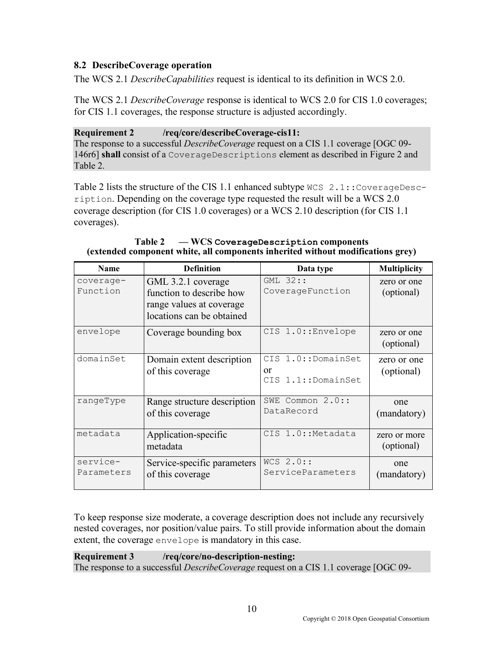### **8.2 DescribeCoverage operation**

The WCS 2.1 *DescribeCapabilities* request is identical to its definition in WCS 2.0.

The WCS 2.1 *DescribeCoverage* response is identical to WCS 2.0 for CIS 1.0 coverages; for CIS 1.1 coverages, the response structure is adjusted accordingly.

#### **Requirement 2 /req/core/describeCoverage-cis11:**

The response to a successful *DescribeCoverage* request on a CIS 1.1 coverage [OGC 09- 146r6] **shall** consist of a CoverageDescriptions element as described in Figure 2 and Table 2.

Table 2 lists the structure of the CIS 1.1 enhanced subtype  $WCS 2.1$ : CoverageDescription. Depending on the coverage type requested the result will be a WCS 2.0 coverage description (for CIS 1.0 coverages) or a WCS 2.10 description (for CIS 1.1 coverages).

| <b>Name</b>            | <b>Definition</b>                                                                                       | Data type                                      | <b>Multiplicity</b>        |
|------------------------|---------------------------------------------------------------------------------------------------------|------------------------------------------------|----------------------------|
| coverage-<br>Function  | GML 3.2.1 coverage<br>function to describe how<br>range values at coverage<br>locations can be obtained | $GML$ 32::<br>CoverageFunction                 | zero or one<br>(optional)  |
| envelope               | Coverage bounding box                                                                                   | CIS 1.0:: Envelope                             | zero or one<br>(optional)  |
| domainSet              | Domain extent description<br>of this coverage                                                           | CIS 1.0::DomainSet<br>or<br>CIS 1.1::DomainSet | zero or one<br>(optional)  |
| rangeType              | Range structure description<br>of this coverage                                                         | SWE Common 2.0::<br>DataRecord                 | one<br>(mandatory)         |
| metadata               | Application-specific<br>metadata                                                                        | CIS 1.0:: Metadata                             | zero or more<br>(optional) |
| service-<br>Parameters | Service-specific parameters<br>of this coverage                                                         | $WCS$ 2.0::<br>ServiceParameters               | one<br>(mandatory)         |

#### **Table 2 — WCS CoverageDescription components (extended component white, all components inherited without modifications grey)**

To keep response size moderate, a coverage description does not include any recursively nested coverages, nor position/value pairs. To still provide information about the domain extent, the coverage envelope is mandatory in this case.

**Requirement 3 /req/core/no-description-nesting:** The response to a successful *DescribeCoverage* request on a CIS 1.1 coverage [OGC 09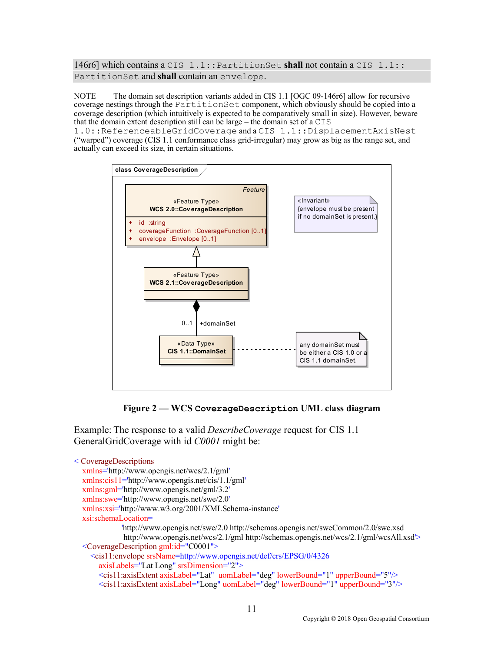146r6] which contains a CIS 1.1::PartitionSet **shall** not contain a CIS 1.1:: PartitionSet and **shall** contain an envelope.

NOTE The domain set description variants added in CIS 1.1 [OGC 09-146r6] allow for recursive coverage nestings through the PartitionSet component, which obviously should be copied into a coverage description (which intuitively is expected to be comparatively small in size). However, beware that the domain extent description still can be large – the domain set of a CIS

1.0::ReferenceableGridCoverage and a CIS 1.1::DisplacementAxisNest ("warped") coverage (CIS 1.1 conformance class grid-irregular) may grow as big as the range set, and actually can exceed its size, in certain situations.



**Figure 2 — WCS CoverageDescription UML class diagram**

Example: The response to a valid *DescribeCoverage* request for CIS 1.1 GeneralGridCoverage with id *C0001* might be:

```
< CoverageDescriptions
   xmlns='http://www.opengis.net/wcs/2.1/gml'
   xmlns:cis11='http://www.opengis.net/cis/1.1/gml'
   xmlns:gml='http://www.opengis.net/gml/3.2'
   xmlns:swe='http://www.opengis.net/swe/2.0'
   xmlns:xsi='http://www.w3.org/2001/XMLSchema-instance'
   xsi:schemaLocation=
              'http://www.opengis.net/swe/2.0 http://schemas.opengis.net/sweCommon/2.0/swe.xsd
              http://www.opengis.net/wcs/2.1/gml http://schemas.opengis.net/wcs/2.1/gml/wcsAll.xsd'>
   <CoverageDescription gml:id="C0001">
     <cis11:envelope srsName=http://www.opengis.net/def/crs/EPSG/0/4326
        axisLabels="Lat Long" srsDimension="2">
        <cis11:axisExtent axisLabel="Lat" uomLabel="deg" lowerBound="1" upperBound="5"/>
        <cis11:axisExtent axisLabel="Long" uomLabel="deg" lowerBound="1" upperBound="3"/>
```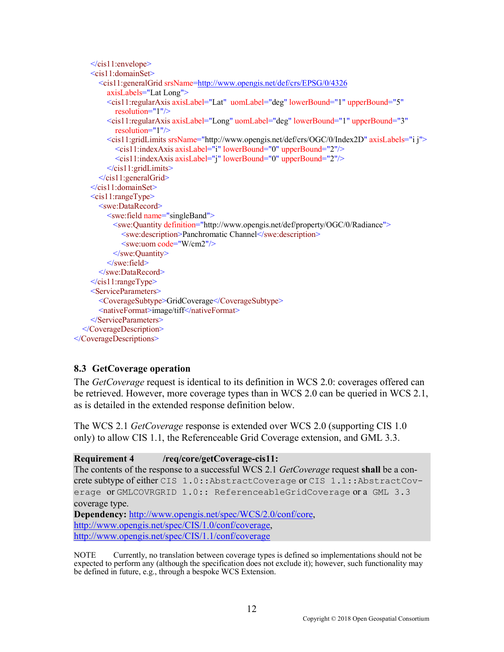```
 </cis11:envelope>
    \lecis11: domainSet\ge <cis11:generalGrid srsName=http://www.opengis.net/def/crs/EPSG/0/4326
          axisLabels="Lat Long">
          <cis11:regularAxis axisLabel="Lat" uomLabel="deg" lowerBound="1" upperBound="5"
            resolution="1"/>
          <cis11:regularAxis axisLabel="Long" uomLabel="deg" lowerBound="1" upperBound="3"
            resolution="1"/>
          <cis11:gridLimits srsName="http://www.opengis.net/def/crs/OGC/0/Index2D" axisLabels="i j">
            <cis11:indexAxis axisLabel="i" lowerBound="0" upperBound="2"/>
            <cis11:indexAxis axisLabel="j" lowerBound="0" upperBound="2"/>
          </cis11:gridLimits>
       \le/cis11:generalGrid>
    \le/cis11:domainSet>
     <cis11:rangeType>
       <swe:DataRecord>
          <swe:field name="singleBand">
           <swe:Quantity definition="http://www.opengis.net/def/property/OGC/0/Radiance">
              <swe:description>Panchromatic Channel</swe:description>
              <swe:uom code="W/cm2"/>
           </swe:Quantity>
         \le/swe:field>
       </swe:DataRecord>
    \le/cis11:rangeType>
     <ServiceParameters>
        <CoverageSubtype>GridCoverage</CoverageSubtype>
        <nativeFormat>image/tiff</nativeFormat>
     </ServiceParameters>
   </CoverageDescription>
</CoverageDescriptions>
```
#### **8.3 GetCoverage operation**

The *GetCoverage* request is identical to its definition in WCS 2.0: coverages offered can be retrieved. However, more coverage types than in WCS 2.0 can be queried in WCS 2.1, as is detailed in the extended response definition below.

The WCS 2.1 *GetCoverage* response is extended over WCS 2.0 (supporting CIS 1.0 only) to allow CIS 1.1, the Referenceable Grid Coverage extension, and GML 3.3.

**Requirement 4 /req/core/getCoverage-cis11:** The contents of the response to a successful WCS 2.1 *GetCoverage* request **shall** be a concrete subtype of either CIS 1.0::AbstractCoverage or CIS 1.1::AbstractCoverage or GMLCOVRGRID 1.0:: ReferenceableGridCoverage or a GML 3.3 coverage type. **Dependency:** http://www.opengis.net/spec/WCS/2.0/conf/core,

http://www.opengis.net/spec/CIS/1.0/conf/coverage, http://www.opengis.net/spec/CIS/1.1/conf/coverage

NOTE Currently, no translation between coverage types is defined so implementations should not be expected to perform any (although the specification does not exclude it); however, such functionality may be defined in future, e.g., through a bespoke WCS Extension.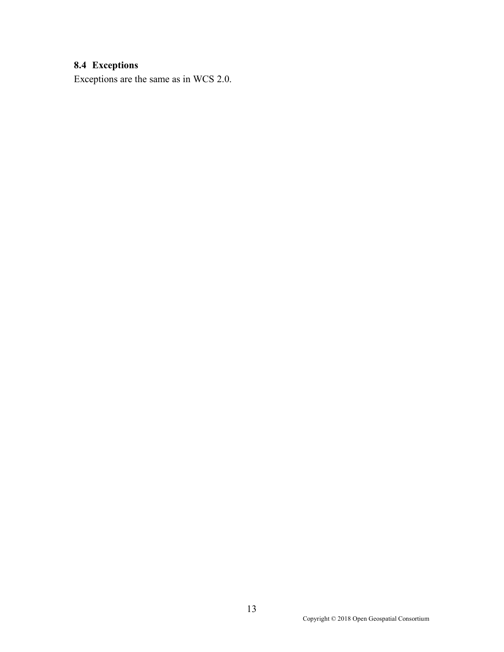## **8.4 Exceptions**

Exceptions are the same as in WCS 2.0.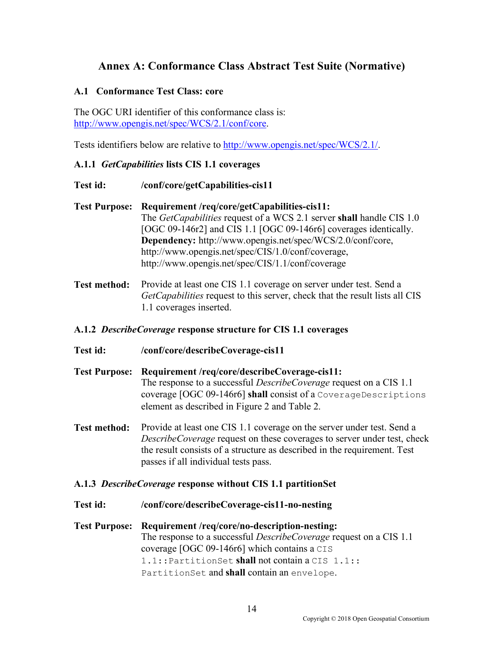### **Annex A: Conformance Class Abstract Test Suite (Normative)**

#### **A.1 Conformance Test Class: core**

The OGC URI identifier of this conformance class is: http://www.opengis.net/spec/WCS/2.1/conf/core.

Tests identifiers below are relative to http://www.opengis.net/spec/WCS/2.1/.

#### **A.1.1** *GetCapabilities* **lists CIS 1.1 coverages**

- **Test id: /conf/core/getCapabilities-cis11**
- **Test Purpose: Requirement /req/core/getCapabilities-cis11:** The *GetCapabilities* request of a WCS 2.1 server **shall** handle CIS 1.0 [OGC 09-146r2] and CIS 1.1 [OGC 09-146r6] coverages identically. **Dependency:** http://www.opengis.net/spec/WCS/2.0/conf/core, http://www.opengis.net/spec/CIS/1.0/conf/coverage, http://www.opengis.net/spec/CIS/1.1/conf/coverage
- **Test method:** Provide at least one CIS 1.1 coverage on server under test. Send a *GetCapabilities* request to this server, check that the result lists all CIS 1.1 coverages inserted.

#### **A.1.2** *DescribeCoverage* **response structure for CIS 1.1 coverages**

- **Test id: /conf/core/describeCoverage-cis11**
- **Test Purpose: Requirement /req/core/describeCoverage-cis11:** The response to a successful *DescribeCoverage* request on a CIS 1.1 coverage [OGC 09-146r6] **shall** consist of a CoverageDescriptions element as described in Figure 2 and Table 2.
- **Test method:** Provide at least one CIS 1.1 coverage on the server under test. Send a *DescribeCoverage* request on these coverages to server under test, check the result consists of a structure as described in the requirement. Test passes if all individual tests pass.

#### **A.1.3** *DescribeCoverage* **response without CIS 1.1 partitionSet**

- **Test id: /conf/core/describeCoverage-cis11-no-nesting**
- **Test Purpose: Requirement /req/core/no-description-nesting:** The response to a successful *DescribeCoverage* request on a CIS 1.1 coverage [OGC 09-146r6] which contains a CIS 1.1::PartitionSet **shall** not contain a CIS 1.1:: PartitionSet and **shall** contain an envelope.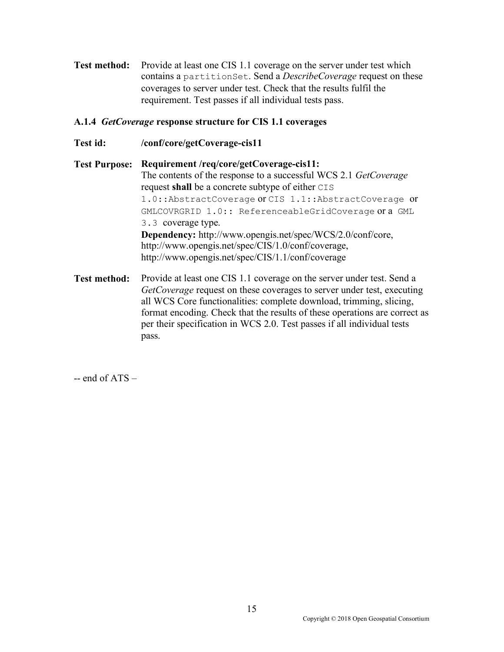**Test method:** Provide at least one CIS 1.1 coverage on the server under test which contains a partitionSet. Send a *DescribeCoverage* request on these coverages to server under test. Check that the results fulfil the requirement. Test passes if all individual tests pass.

#### **A.1.4** *GetCoverage* **response structure for CIS 1.1 coverages**

**Test id: /conf/core/getCoverage-cis11**

**Test Purpose: Requirement /req/core/getCoverage-cis11:** The contents of the response to a successful WCS 2.1 *GetCoverage*  request **shall** be a concrete subtype of either CIS 1.0::AbstractCoverage or CIS 1.1::AbstractCoverage or GMLCOVRGRID 1.0:: ReferenceableGridCoverage or a GML 3.3 coverage type. **Dependency:** http://www.opengis.net/spec/WCS/2.0/conf/core, http://www.opengis.net/spec/CIS/1.0/conf/coverage, http://www.opengis.net/spec/CIS/1.1/conf/coverage

Test method: Provide at least one CIS 1.1 coverage on the server under test. Send a *GetCoverage* request on these coverages to server under test, executing all WCS Core functionalities: complete download, trimming, slicing, format encoding. Check that the results of these operations are correct as per their specification in WCS 2.0. Test passes if all individual tests pass.

 $-$  end of ATS  $-$